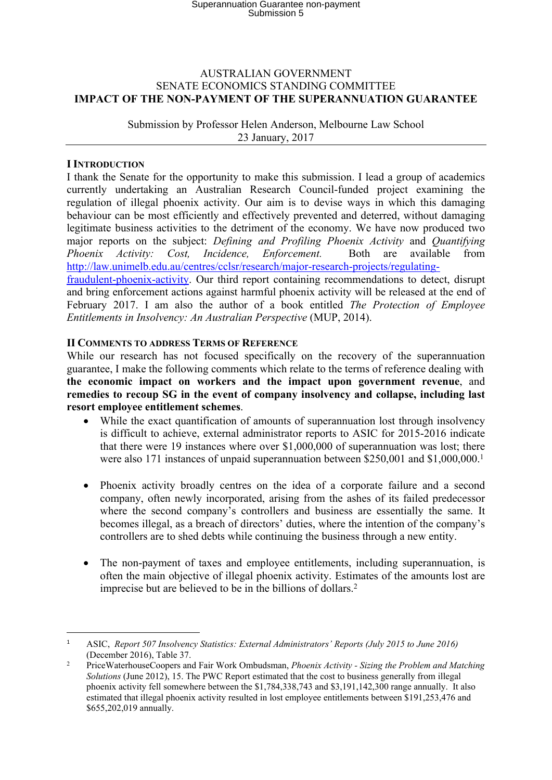# Superannuation Guarantee non-payment Submission 5

### AUSTRALIAN GOVERNMENT SENATE ECONOMICS STANDING COMMITTEE **IMPACT OF THE NON-PAYMENT OF THE SUPERANNUATION GUARANTEE**

Submission by Professor Helen Anderson, Melbourne Law School 23 January, 2017

### **I INTRODUCTION**

I thank the Senate for the opportunity to make this submission. I lead a group of academics currently undertaking an Australian Research Council-funded project examining the regulation of illegal phoenix activity. Our aim is to devise ways in which this damaging behaviour can be most efficiently and effectively prevented and deterred, without damaging legitimate business activities to the detriment of the economy. We have now produced two major reports on the subject: *Defining and Profiling Phoenix Activity* and *Quantifying Phoenix Activity: Cost, Incidence, Enforcement.* Both are available from [http://law.unimelb.edu.au/centres/cclsr/research/major-research-projects/regulating](http://law.unimelb.edu.au/centres/cclsr/research/major-research-projects/regulating-fraudulent-phoenix-activity)[fraudulent-phoenix-activity.](http://law.unimelb.edu.au/centres/cclsr/research/major-research-projects/regulating-fraudulent-phoenix-activity) Our third report containing recommendations to detect, disrupt

and bring enforcement actions against harmful phoenix activity will be released at the end of February 2017. I am also the author of a book entitled *The Protection of Employee Entitlements in Insolvency: An Australian Perspective* (MUP, 2014).

### **II COMMENTS TO ADDRESS TERMS OF REFERENCE**

While our research has not focused specifically on the recovery of the superannuation guarantee, I make the following comments which relate to the terms of reference dealing with **the economic impact on workers and the impact upon government revenue**, and **remedies to recoup SG in the event of company insolvency and collapse, including last resort employee entitlement schemes**.

- While the exact quantification of amounts of superannuation lost through insolvency is difficult to achieve, external administrator reports to ASIC for 2015-2016 indicate that there were 19 instances where over \$1,000,000 of superannuation was lost; there were also 171 instances of unpaid superannuation between \$250,001 and \$1,000,000.<sup>1</sup>
- <span id="page-0-0"></span> Phoenix activity broadly centres on the idea of a corporate failure and a second company, often newly incorporated, arising from the ashes of its failed predecessor where the second company's controllers and business are essentially the same. It becomes illegal, as a breach of directors' duties, where the intention of the company's controllers are to shed debts while continuing the business through a new entity.
- The non-payment of taxes and employee entitlements, including superannuation, is often the main objective of illegal phoenix activity. Estimates of the amounts lost are imprecise but are believed to be in the billions of dollars.<sup>2</sup>

<sup>1</sup> ASIC, *Report 507 Insolvency Statistics: External Administrators' Reports (July 2015 to June 2016)* (December 2016), Table 37.

<sup>2</sup> PriceWaterhouseCoopers and Fair Work Ombudsman, *Phoenix Activity - Sizing the Problem and Matching Solutions* (June 2012), 15. The PWC Report estimated that the cost to business generally from illegal phoenix activity fell somewhere between the \$1,784,338,743 and \$3,191,142,300 range annually. It also estimated that illegal phoenix activity resulted in lost employee entitlements between \$191,253,476 and \$655,202,019 annually.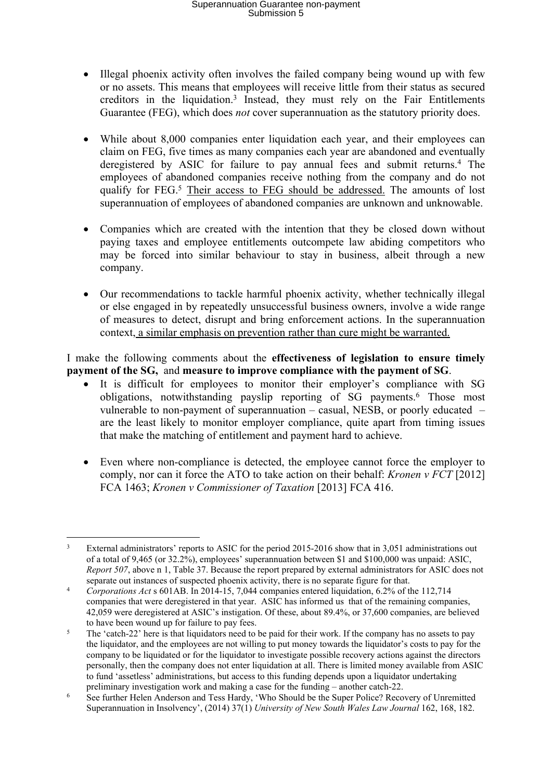# Superannuation Guarantee non-payment Submission 5

- Illegal phoenix activity often involves the failed company being wound up with few or no assets. This means that employees will receive little from their status as secured creditors in the liquidation.<sup>3</sup> Instead, they must rely on the Fair Entitlements Guarantee (FEG), which does *not* cover superannuation as the statutory priority does.
- While about 8,000 companies enter liquidation each year, and their employees can claim on FEG, five times as many companies each year are abandoned and eventually deregistered by ASIC for failure to pay annual fees and submit returns.<sup>4</sup> The employees of abandoned companies receive nothing from the company and do not qualify for FEG.<sup>5</sup> Their access to FEG should be addressed. The amounts of lost superannuation of employees of abandoned companies are unknown and unknowable.
- Companies which are created with the intention that they be closed down without paying taxes and employee entitlements outcompete law abiding competitors who may be forced into similar behaviour to stay in business, albeit through a new company.
- Our recommendations to tackle harmful phoenix activity, whether technically illegal or else engaged in by repeatedly unsuccessful business owners, involve a wide range of measures to detect, disrupt and bring enforcement actions. In the superannuation context, a similar emphasis on prevention rather than cure might be warranted.

I make the following comments about the **effectiveness of legislation to ensure timely payment of the SG,** and **measure to improve compliance with the payment of SG**.

- It is difficult for employees to monitor their employer's compliance with SG obligations, notwithstanding payslip reporting of SG payments.<sup>6</sup> Those most vulnerable to non-payment of superannuation – casual, NESB, or poorly educated – are the least likely to monitor employer compliance, quite apart from timing issues that make the matching of entitlement and payment hard to achieve.
- Even where non-compliance is detected, the employee cannot force the employer to comply, nor can it force the ATO to take action on their behalf: *Kronen v FCT* [2012] FCA 1463; *Kronen v Commissioner of Taxation* [2013] FCA 416.

<sup>&</sup>lt;sup>3</sup> External administrators' reports to ASIC for the period 2015-2016 show that in 3,051 administrations out of a total of 9,465 (or 32.2%), employees' superannuation between \$1 and \$100,000 was unpaid: ASIC, *Report 507*, above n [1,](#page-0-0) Table 37. Because the report prepared by external administrators for ASIC does not separate out instances of suspected phoenix activity, there is no separate figure for that.

<sup>4</sup> *Corporations Act* s 601AB. In 2014-15, 7,044 companies entered liquidation, 6.2% of the 112,714 companies that were deregistered in that year. ASIC has informed us that of the remaining companies, 42,059 were deregistered at ASIC's instigation. Of these, about 89.4%, or 37,600 companies, are believed to have been wound up for failure to pay fees.

<sup>&</sup>lt;sup>5</sup> The 'catch-22' here is that liquidators need to be paid for their work. If the company has no assets to pay the liquidator, and the employees are not willing to put money towards the liquidator's costs to pay for the company to be liquidated or for the liquidator to investigate possible recovery actions against the directors personally, then the company does not enter liquidation at all. There is limited money available from ASIC to fund 'assetless' administrations, but access to this funding depends upon a liquidator undertaking preliminary investigation work and making a case for the funding – another catch-22.

<sup>6</sup> See further Helen Anderson and Tess Hardy, 'Who Should be the Super Police? Recovery of Unremitted Superannuation in Insolvency', (2014) 37(1) *University of New South Wales Law Journal* 162, 168, 182.